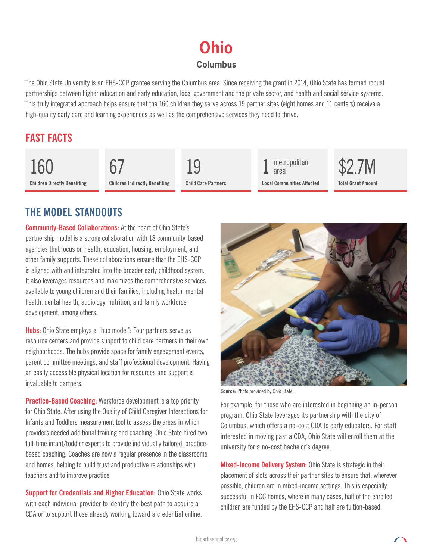# **Ohio Columbus**

The Ohio State University is an EHS-CCP grantee serving the Columbus area. Since receiving the grant in 2014, Ohio State has formed robust partnerships between higher education and early education, local government and the private sector, and health and social service systems. This truly integrated approach helps ensure that the 160 children they serve across 19 partner sites (eight homes and 11 centers) receive a high-quality early care and learning experiences as well as the comprehensive services they need to thrive.

## **FAST FACTS**



### **THE MODEL STANDOUTS**

**Community-Based Collaborations:** At the heart of Ohio State's partnership model is a strong collaboration with 18 community-based agencies that focus on health, education, housing, employment, and other family supports. These collaborations ensure that the EHS-CCP is aligned with and integrated into the broader early childhood system. It also leverages resources and maximizes the comprehensive services available to young children and their families, including health, mental health, dental health, audiology, nutrition, and family workforce development, among others.

**Hubs:** Ohio State employs a "hub model": Four partners serve as resource centers and provide support to child care partners in their own neighborhoods. The hubs provide space for family engagement events, parent committee meetings, and staff professional development. Having an easily accessible physical location for resources and support is invaluable to partners.

**Practice-Based Coaching:** Workforce development is a top priority for Ohio State. After using the Quality of Child Caregiver Interactions for Infants and Toddlers measurement tool to assess the areas in which providers needed additional training and coaching, Ohio State hired two full-time infant/toddler experts to provide individually tailored, practicebased coaching. Coaches are now a regular presence in the classrooms and homes, helping to build trust and productive relationships with teachers and to improve practice.

**Support for Credentials and Higher Education:** Ohio State works with each individual provider to identify the best path to acquire a CDA or to support those already working toward a credential online.



**Source:** Photo provided by Ohio State.

For example, for those who are interested in beginning an in-person program, Ohio State leverages its partnership with the city of Columbus, which offers a no-cost CDA to early educators. For staff interested in moving past a CDA, Ohio State will enroll them at the university for a no-cost bachelor's degree.

**Mixed-Income Delivery System:** Ohio State is strategic in their placement of slots across their partner sites to ensure that, wherever possible, children are in mixed-income settings. This is especially successful in FCC homes, where in many cases, half of the enrolled children are funded by the EHS-CCP and half are tuition-based.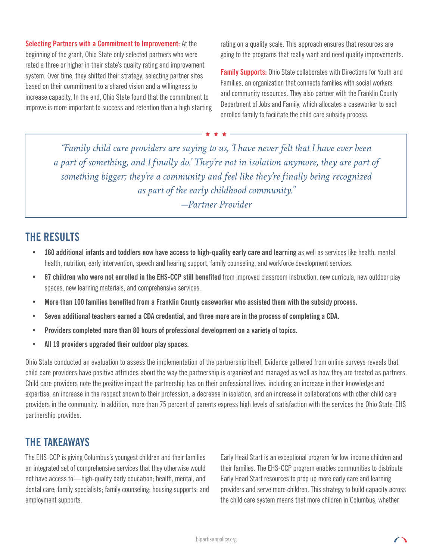**Selecting Partners with a Commitment to Improvement:** At the beginning of the grant, Ohio State only selected partners who were rated a three or higher in their state's quality rating and improvement system. Over time, they shifted their strategy, selecting partner sites based on their commitment to a shared vision and a willingness to increase capacity. In the end, Ohio State found that the commitment to improve is more important to success and retention than a high starting rating on a quality scale. This approach ensures that resources are going to the programs that really want and need quality improvements.

**Family Supports:** Ohio State collaborates with Directions for Youth and Families, an organization that connects families with social workers and community resources. They also partner with the Franklin County Department of Jobs and Family, which allocates a caseworker to each enrolled family to facilitate the child care subsidy process.

*"Family child care providers are saying to us, 'I have never felt that I have ever been a part of something, and I finally do.' They're not in isolation anymore, they are part of something bigger; they're a community and feel like they're finally being recognized as part of the early childhood community."*

*—Partner Provider*

### **THE RESULTS**

- **160 additional infants and toddlers now have access to high-quality early care and learning** as well as services like health, mental health, nutrition, early intervention, speech and hearing support, family counseling, and workforce development services.
- **67 children who were not enrolled in the EHS-CCP still benefited** from improved classroom instruction, new curricula, new outdoor play spaces, new learning materials, and comprehensive services.
- **More than 100 families benefited from a Franklin County caseworker who assisted them with the subsidy process.**
- **Seven additional teachers earned a CDA credential, and three more are in the process of completing a CDA.**
- **Providers completed more than 80 hours of professional development on a variety of topics.**
- **All 19 providers upgraded their outdoor play spaces.**

Ohio State conducted an evaluation to assess the implementation of the partnership itself. Evidence gathered from online surveys reveals that child care providers have positive attitudes about the way the partnership is organized and managed as well as how they are treated as partners. Child care providers note the positive impact the partnership has on their professional lives, including an increase in their knowledge and expertise, an increase in the respect shown to their profession, a decrease in isolation, and an increase in collaborations with other child care providers in the community. In addition, more than 75 percent of parents express high levels of satisfaction with the services the Ohio State-EHS partnership provides.

#### **THE TAKEAWAYS**

The EHS-CCP is giving Columbus's youngest children and their families an integrated set of comprehensive services that they otherwise would not have access to—high-quality early education; health, mental, and dental care; family specialists; family counseling; housing supports; and employment supports.

Early Head Start is an exceptional program for low-income children and their families. The EHS-CCP program enables communities to distribute Early Head Start resources to prop up more early care and learning providers and serve more children. This strategy to build capacity across the child care system means that more children in Columbus, whether